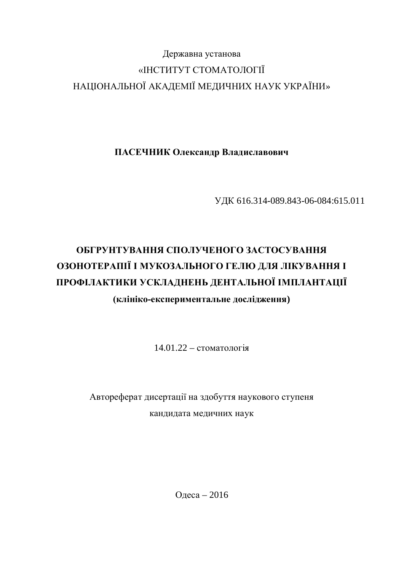# Державна установа «ІНСТИТУТ СТОМАТОЛОГІЇ НАЦІОНАЛЬНОЇ АКАДЕМІЇ МЕДИЧНИХ НАУК УКРАЇНИ»

ПАСЕЧНИК Олександр Владиславович

ɍȾɄ 616.314-089.843-06-084:615.011

# ОБГРУНТУВАННЯ СПОЛУЧЕНОГО ЗАСТОСУВАННЯ ОЗОНОТЕРАПІЇ І МУКОЗАЛЬНОГО ГЕЛЮ ДЛЯ ЛІКУВАННЯ І ПРОФІЛАКТИКИ УСКЛАДНЕНЬ ДЕНТАЛЬНОЇ ІМПЛАНТАЦІЇ

(клініко-експериментальне дослідження)

 $14.01.22 -$  стоматологія

Автореферат дисертації на здобуття наукового ступеня кандидата медичних наук

Одеса – 2016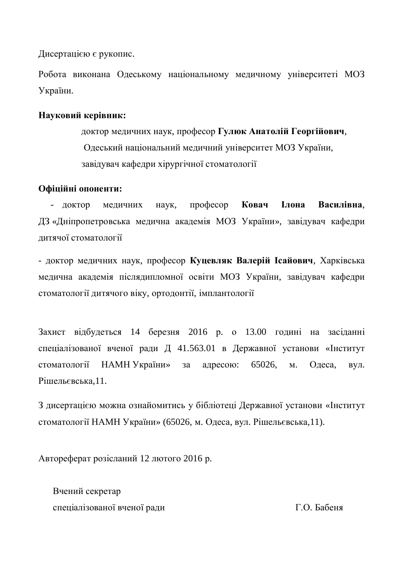Дисертацією є рукопис.

Робота виконана Одеському національному медичному університеті МОЗ України.

# **Науковий керівник:**

доктор медичних наук, професор Гулюк Анатолій Георгійович, Одеський національний медичний університет МОЗ України, завідувач кафедри хірургічної стоматології

# Офіційні опоненти:

- доктор медичних наук, професор Ковач **Ілона Василівна**, ДЗ «Дніпропетровська медична академія МОЗ України», завідувач кафедри дитячої стоматології

- доктор медичних наук, професор Куцевляк Валерій Ісайович, Харківська медична академія післядипломної освіти МОЗ України, завідувач кафедри стоматології дитячого віку, ортодонтії, імплантології

Захист відбудеться 14 березня 2016 р. о 13.00 годині на засіданні спеціалізованої вченої ради Д 41.563.01 в Державної установи «Інститут стоматології НАМН України» за адресою: 65026, м. Одеса, вул. Рішельєвська,11.

З дисертацією можна ознайомитись у бібліотеці Державної установи «Інститут стоматології НАМН України» (65026, м. Одеса, вул. Рішельєвська,11).

Автореферат розісланий 12 лютого 2016 р.

Вчений секретар спеціалізованої вченої ради П.О. Бабеня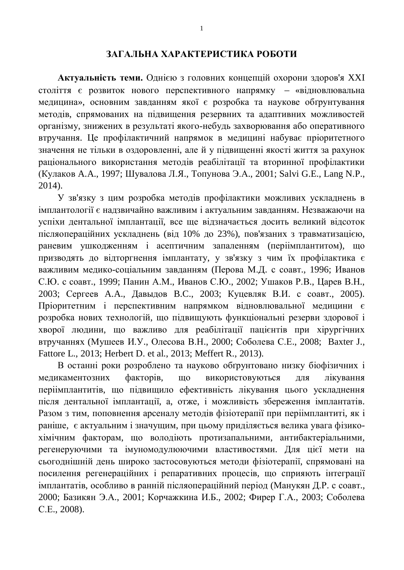#### ЗАГАЛЬНА ХАРАКТЕРИСТИКА РОБОТИ

Актуальність теми. Однією з головних концепцій охорони здоров'я XXI століття є розвиток нового перспективного напрямку - «відновлювальна медицина», основним завданням якої є розробка та наукове обґрунтування методів, спрямованих на підвищення резервних та адаптивних можливостей організму, знижених в результаті якого-небудь захворювання або оперативного втручання. Це профілактичний напрямок в медицині набуває пріоритетного значення не тільки в оздоровленні, але й у підвищенні якості життя за рахунок раціонального використання методів реабілітації та вторинної профілактики (Кулаков А.А., 1997; Шувалова Л.Я., Топунова Э.А., 2001; Salvi G.E., Lang N.P., 2014).

У зв'язку з цим розробка методів профілактики можливих ускладнень в імплантології є надзвичайно важливим і актуальним завданням. Незважаючи на успіхи дентальної імплантації, все ще відзначається досить великий відсоток післяопераційних ускладнень (від 10% до 23%), пов'язаних з травматизацією, раневим ушкодженням і асептичним запаленням (періімплантитом), що призводять до відторгнення імплантату, у зв'язку з чим їх профілактика є важливим медико-соціальним завданням (Перова М.Д. с соавт., 1996; Иванов С.Ю. с соавт., 1999; Панин А.М., Иванов С.Ю., 2002; Ушаков Р.В., Царев В.Н., 2003; Сергеев А.А., Давыдов В.С., 2003; Куцевляк В.И. с соавт., 2005). Пріоритетним і перспективним напрямком відновлювальної медицини є розробка нових технологій, що підвищують функціональні резерви здорової і хворої людини, що важливо для реабілітації пацієнтів при хірургічних втручаннях (Мушеев И.У., Олесова В.Н., 2000; Соболева С.Е., 2008; Baxter J., Fattore L., 2013; Herbert D. et al., 2013; Meffert R., 2013).

В останні роки розроблено та науково обґрунтовано низку біофізичних і медикаментозних факторів, що використовуються для лікування періімплантитів, що пілвишило ефективність лікування цього усклалнення після дентальної імплантації, а, отже, і можливість збереження імплантатів. Разом з тим, поповнення арсеналу методів фізіотерапії при періімплантиті, як і раніше, є актуальним і значущим, при цьому приділяється велика увага фізикохімічним факторам, що володіють протизапальними, антибактеріальними, регенеруючими та імуномодулюючими властивостями. Для цієї мети на сьогоднішній день широко застосовуються методи фізіотерапії, спрямовані на посилення регенераційних і репаративних процесів, що сприяють інтеграції імплантатів, особливо в ранній післяопераційний період (Манукян Д.Р. с соавт., 2000; Базикян Э.А., 2001; Корчажкина И.Б., 2002; Фирер Г.А., 2003; Соболева C.E., 2008).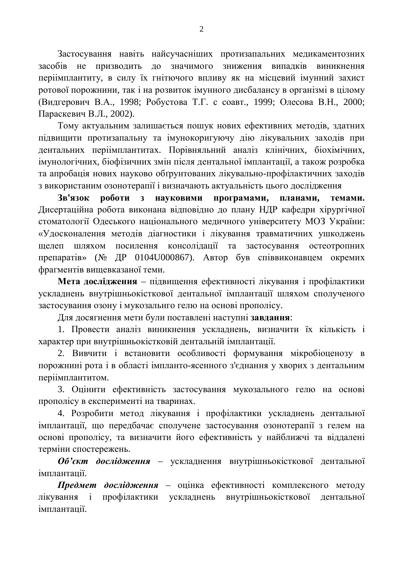Застосування навіть найсучасніших протизапальних медикаментозних засобів не призводить до значимого зниження випадків виникнення періімплантиту, в силу їх гнітючого впливу як на місцевий імунний захист ротової порожнини, так і на розвиток імунного дисбалансу в організмі в цілому (Видгерович В.А., 1998; Робустова Т.Г. с соавт., 1999; Олесова В.Н., 2000; Параскевич В.Л., 2002).

Тому актуальним залишається пошук нових ефективних методів, здатних пілвишити протизапальну та імунокоригуючу лію лікувальних захолів при дентальних періімплантитах. Порівняльний аналіз клінічних, біохімічних, імунологічних, біофізичних змін після дентальної імплантації, а також розробка та апробація нових науково обґрунтованих лікувально-профілактичних заходів з використаним озонотерапії і визначають актуальність цього дослідження

**Зв'язок роботи з науковими програмами, планами, темами.** Дисертаційна робота виконана відповідно до плану НДР кафедри хірургічної стоматології Одеського національного медичного університету МОЗ України: «Удосконалення методів діагностики і лікування травматичних ушкоджень щелеп шляхом посилення консолідації та застосування остеотропних препаратів» (№ ДР 0104U000867). Автор був співвиконавцем окремих фрагментів вищевказаної теми.

Мета дослідження – підвищення ефективності лікування і профілактики ускладнень внутрішньокісткової дентальної імплантації шляхом сполученого застосування озону і мукозальнго гелю на основі прополісу.

Ⱦɥɹɞɨɫɹɝɧɟɧɧɹɦɟɬɢɛɭɥɢɩɨɫɬɚɜɥɟɧɿɧɚɫɬɭɩɧɿ **ɡɚɜɞɚɧɧɹ**:

1. Провести аналіз виникнення ускладнень, визначити їх кількість і характер при внутрішньокістковій дентальній імплантації.

2. Вивчити і встановити особливості формування мікробіоценозу в порожнині рота і в області імпланто-ясенного з'єднання у хворих з дентальним періімплантитом.

3. Оцінити ефективність застосування мукозального гелю на основі прополісу в експерименті на тваринах.

4. Розробити метод лікування і профілактики ускладнень дентальної імплантації, що передбачає сполучене застосування озонотерапії з гелем на основі прополісу, та визначити його ефективність у найближчі та віддалені терміни спостережень.

Об'єкт дослідження – ускладнення внутрішньокісткової дентальної iMППАНТАНII.

**Предмет дослідження** – оцінка ефективності комплексного методу лікування і профілактики ускладнень внутрішньокісткової дентальної iMППАНТАНII.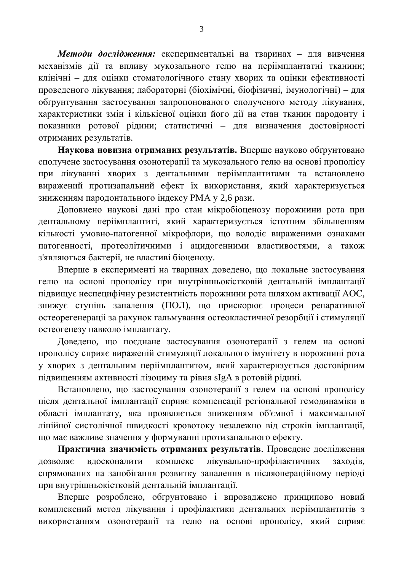Методи дослідження: експериментальні на тваринах – для вивчення механізмів дії та впливу мукозального гелю на періімплантатні тканини; клінічні – для оцінки стоматологічного стану хворих та оцінки ефективності проведеного лікування; лабораторні (біохімічні, біофізичні, імунологічні) – для обґрунтування застосування запропонованого сполученого методу лікування, характеристики змін і кількісної оцінки його дії на стан тканин пародонту і показники ротової рідини; статистичні – для визначення достовірності отриманих результатів.

Наукова новизна отриманих результатів. Вперше науково обтрунтовано сполучене застосування озонотерапії та мукозального гелю на основі прополісу при лікуванні хворих з дентальними періімплантитами та встановлено виражений протизапальний ефект їх використання, який характеризується зниженням пародонтального індексу РМА у 2,6 рази.

Доповнено наукові дані про стан мікробіоценозу порожнини рота при дентальному періімплантиті, який характеризується істотним збільшенням кількості умовно-патогенної мікрофлори, що володіє вираженими ознаками патогенності, протеолітичними і ацидогенними властивостями, а також з'являються бактерії, не властиві біоценозу.

Вперше в експерименті на тваринах доведено, що локальне застосування гелю на основі прополісу при внутрішньокістковій дентальній імплантації підвищує неспецифічну резистентність порожнини рота шляхом активації АОС, знижує ступінь запалення (ПОЛ), що прискорює процеси репаративної остеорегенерації за рахунок гальмування остеокластичної резорбції і стимуляції остеогенезу навколо імплантату.

Доведено, що поєднане застосування озонотерапії з гелем на основі прополісу сприяє вираженій стимуляції локального імунітету в порожнині рота у хворих з дентальним періімплантитом, який характеризується достовірним підвищенням активності лізоциму та рівня sIgA в ротовій рідині.

Встановлено, що застосування озонотерапії з гелем на основі прополісу після дентальної імплантації сприяє компенсації регіональної гемодинаміки в області імплантату, яка проявляється зниженням об'ємної і максимальної лінійної систолічної швидкості кровотоку незалежно від строків імплантації, що має важливе значення у формуванні протизапального ефекту.

Практична значимість отриманих результатів. Проведене дослідження дозволяє вдосконалити комплекс лікувально-профілактичних заходів, спрямованих на запобігання розвитку запалення в післяопераційному періоді при внутрішньокістковій дентальній імплантації.

Вперше розроблено, обтрунтовано і впроваджено принципово новий комплексний метод лікування і профілактики дентальних періімплантитів з використанням озонотерапії та гелю на основі прополісу, який сприяє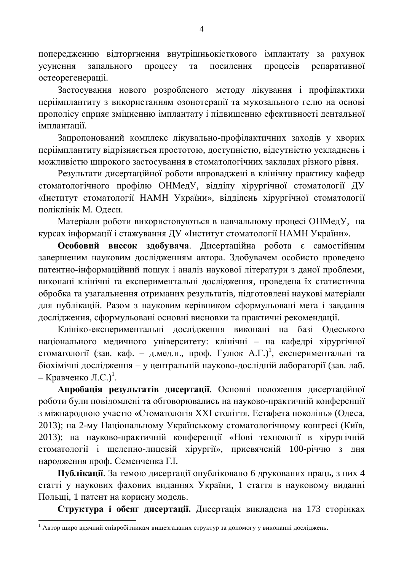попередженню відторгнення внутрішньокісткового імплантату за рахунок үсунення запального процесу та посилення процесів репаративної остеорегенераціі.

Застосування нового розробленого методу лікування і профілактики періімплантиту з використанням озонотерапії та мукозального гелю на основі прополісу сприяє зміцненню імплантату і підвищенню ефективності дентальної імплантації.

Запропонований комплекс лікувально-профілактичних заходів у хворих періімплантиту відрізняється простотою, доступністю, відсутністю ускладнень і можливістю широкого застосування в стоматологічних закладах різного рівня.

Результати дисертаційної роботи впроваджені в клінічну практику кафедр стоматологічного профілю ОНМедУ, відділу хірургічної стоматології ДУ «Інститут стоматології НАМН України», відділень хірургічної стоматології поліклінік М. Одеси.

Матеріали роботи використовуються в навчальному процесі ОНМедУ, на курсах інформації і стажування ДУ «Інститут стоматології НАМН України».

Особовий внесок здобувача. Дисертаційна робота є самостійним завершеним науковим дослідженням автора. Здобувачем особисто проведено патентно-інформаційний пошук і аналіз наукової літератури з даної проблеми, виконані клінічні та експериментальні дослідження, проведена їх статистична обробка та узагальнення отриманих результатів, підготовлені наукові матеріали для публікацій. Разом з науковим керівником сформульовані мета і завдання дослідження, сформульовані основні висновки та практичні рекомендації.

Клініко-експериментальні дослідження виконані на базі Одеського національного медичного університету: клінічні – на кафедрі хірургічної стоматології (зав. каф. – д.мед.н., проф. Гулюк А.Г.)<sup>1</sup>, експериментальні та біохімічні дослідження – у центральній науково-дослідній лабораторії (зав. лаб. – Кравченко Л.С.)<sup>1</sup>.

Апробація результатів дисертації. Основні положення дисертаційної роботи були повідомлені та обговорювались на науково-практичній конференції з міжнародною участю «Стоматологія XXI століття. Естафета поколінь» (Одеса, 2013); на 2-му Національному Українському стоматологічному конгресі (Київ, 2013); на науково-практичній конференції «Нові технології в хірургічній стоматології і щелепно-лицевій хірургії», присвяченій 100-річчю з дня народження проф. Семенченка Г.І.

Публікації. За темою дисертації опубліковано 6 друкованих праць, з них 4 статті у наукових фахових виданнях України, 1 стаття в науковому виданні Польщі, 1 патент на корисну модель.

Структура і обсяг дисертації. Дисертація викладена на 173 сторінках

 $^1$  Автор щиро вдячний співробітникам вищезгаданих структур за допомогу у виконанні досліджень.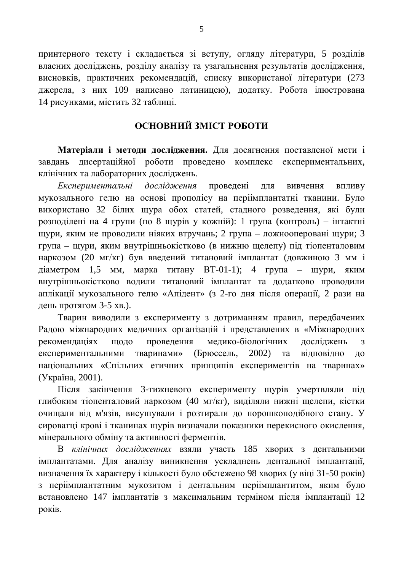принтерного тексту і складається зі вступу, огляду літератури, 5 розділів власних досліджень, розділу аналізу та узагальнення результатів дослідження, висновків, практичних рекомендацій, списку використаної літератури (273 джерела, з них 109 написано латиницею), додатку. Робота ілюстрована 14 рисунками, містить 32 таблиці.

# **ОСНОВНИЙ ЗМІСТ РОБОТИ**

Матеріали і методи дослідження. Для досягнення поставленої мети і завдань дисертаційної роботи проведено комплекс експериментальних, клінічних та лабораторних досліджень.

*Експериментальні дослідження* проведені для вивчення впливу мукозального гелю на основі прополісу на періімплантатні тканини. Було використано 32 білих щура обох статей, стадного розведення, які були розподілені на 4 групи (по 8 щурів у кожній): 1 група (контроль) – інтактні щури, яким не проводили ніяких втручань; 2 група – ложнооперовані щури; 3 група – щури, яким внутрішньокістково (в нижню щелепу) під тіопенталовим наркозом (20 мг/кг) був введений титановий імплантат (довжиною 3 мм і діаметром 1,5 мм, марка титану ВТ-01-1); 4 група – щури, яким внутрішньокістково водили титановий імплантат та додатково проводили аплікації мукозального гелю «Апідент» (з 2-го дня після операції, 2 рази на день протягом 3-5 хв.).

Тварин виводили з експерименту з дотриманням правил, передбачених Радою міжнародних медичних організацій і представлених в «Міжнародних рекомендаціях щодо проведення медико-біологічних досліджень з експериментальними тваринами» (Брюссель, 2002) та відповідно до національних «Спільних етичних принципів експериментів на тваринах» (Україна, 2001).

Після закінчення 3-тижневого експерименту щурів умертвляли під глибоким тіопенталовий наркозом (40 мг/кг), виділяли нижні щелепи, кістки очищали від м'язів, висушували і розтирали до порошкоподібного стану. У сироватці крові і тканинах щурів визначали показники перекисного окислення, мінерального обміну та активності ферментів.

В клінічних дослідженнях взяли участь 185 хворих з дентальними імплантатами. Для аналізу виникнення ускладнень дентальної імплантації, визначення їх характеру і кількості було обстежено 98 хворих (у віці 31-50 років) з періімплантатним мукозитом і дентальним періімплантитом, яким було встановлено 147 імплантатів з максимальним терміном після імплантації 12 pokib.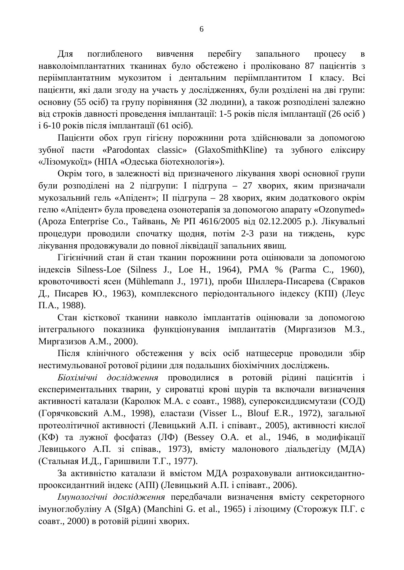Для поглибленого вивчення перебігу запального процесу в навколоімплантатних тканинах було обстежено і проліковано 87 пацієнтів з періімплантатним мукозитом і дентальним періімплантитом І класу. Всі пацієнти, які дали згоду на участь у дослідженнях, були розділені на дві групи: основну (55 осіб) та групу порівняння (32 людини), а також розподілені залежно від строків давності проведення імплантації: 1-5 років після імплантації (26 осіб)  $i$  6-10 років після імплантації (61  $\alpha$ сіб).

Пацієнти обох груп гігієну порожнини рота злійснювали за лопомогою зубної пасти «Parodontax classic» (GlaxoSmithKline) та зубного еліксиру «Лізомукоїд» (НПА «Одеська біотехнологія»).

Окрім того, в залежності від призначеного лікування хворі основної групи були розподілені на 2 підгрупи: І підгрупа – 27 хворих, яким призначали мукозальний гель «Апідент»; ІІ підгрупа – 28 хворих, яким додаткового окрім гелю «Апідент» була проведена озонотерапія за допомогою апарату «Ozonymed» (Ароza Enterprise Co., Тайвань, № РП 4616/2005 від 02.12.2005 р.). Лікувальні процедури проводили спочатку щодня, потім 2-3 рази на тиждень, курс лікування продовжували до повної ліквідації запальних явищ.

Гігієнічний стан й стан тканин порожнини рота оцінювали за допомогою iндексiв Silness-Loe (Silness J., Loe H., 1964), PMA % (Parma C., 1960), кровоточивості ясен (Mühlemann J., 1971), проби Шиллера-Писарева (Свраков Д., Писарев Ю., 1963), комплексного періодонтального індексу (КПІ) (Леус  $\Pi$ .A., 1988).

Стан кісткової тканини навколо імплантатів оцінювали за лопомогою інтегрального показника функціонування імплантатів (Миргазизов М.З., Миргазизов А.М., 2000).

Після клінічного обстеження у всіх осіб натщесерце проводили збір нестимульованої ротової рідини для подальших біохімічних досліджень.

*Біохімічні дослідження* проводилися в ротовій рідині пацієнтів і експериментальних тварин, у сироватці крові щурів та включали визначення активності каталази (Каролюк М.А. с соавт., 1988), супероксиддисмутази (СОД) (Горячковский А.М., 1998), еластази (Visser L., Blouf E.R., 1972), загальної протеолітичної активності (Левицький А.П. і співавт., 2005), активності кислої  $(K\Phi)$  та лужної фосфатаз (Л $\Phi$ ) (Bessey O.A. et al., 1946, в модифікації Левицького А.П. зі співав., 1973), вмісту малонового діальдегіду (МДА) (Стальная И.Д., Гаришвили Т.Г., 1977).

За активністю каталази й вмістом МДА розраховували антиоксидантнопрооксидантний індекс (АПІ) (Левицький А.П. і співавт., 2006).

*<u> Імунологічні дослідження передбачали визначення вмісту секреторного*</u> iмуноглобулiну A (SIgA) (Manchini G. et al., 1965) i лiзоциму (Сторожук П.Г. с соавт., 2000) в ротовій рідині хворих.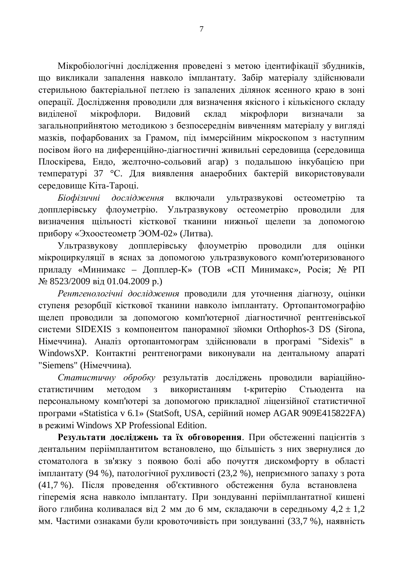Мікробіологічні дослідження проведені з метою ідентифікації збудників, що викликали запалення навколо імплантату. Забір матеріалу здійснювали стерильною бактеріальної петлею із запалених ділянок ясенного краю в зоні операції. Дослідження проводили для визначення якісного і кількісного складу виділеної мікрофлори. Видовий склад мікрофлори визначали за загальноприйнятою методикою з безпосереднім вивченням матеріалу у вигляді мазків, пофарбованих за Грамом, піл іммерсійним мікроскопом з наступним посівом його на диференційно-діагностичні живильні середовища (середовища Плоскірева, Ендо, желточно-сольовий агар) з подальшою інкубацією при температурі 37 °С. Для виявлення анаеробних бактерій використовували середовище Кіта-Тароці.

*Біофізичні дослідження* включали ультразвукові остеометрію та допплерівську флоуметрію. Ультразвукову остеометрію проводили для визначення щільності кісткової тканини нижньої щелепи за допомогою прибору «Эхоостеометр ЭОМ-02» (Литва).

Ультразвукову допплерівську флоуметрію проводили для оцінки мікроциркуляції в яснах за допомогою ультразвукового комп'ютеризованого приладу «Минимакс – Допплер-К» (ТОВ «СП Минимакс», Росія; № РП № 8523/2009 від 01.04.2009 р.)

Рентгенологічні дослідження проводили для уточнення діагнозу, оцінки ступеня резорбції кісткової тканини навколо імплантату. Ортопантомографію щелеп проводили за допомогою комп'ютерної діагностичної рентгенівської системи SIDEXIS з компонентом панорамної зйомки Orthophos-3 DS (Sirona, Німеччина). Аналіз ортопантомограм здійснювали в програмі "Sidexis" в WindowsXP. Контактні рентгенограми виконували на дентальному апараті "Siemens" (Німеччина).

Статистичну обробку результатів досліджень проводили варіаційностатистичним методом з використанням t-критерію Стьюдента персональному комп'ютері за допомогою прикладної ліцензійної статистичної програми «Statistica v 6.1» (StatSoft, USA, серійний номер AGAR 909E415822FA) **в режимі Windows XP Professional Edition.** 

Результати досліджень та їх обговорення. При обстеженні пацієнтів з дентальним періімплантитом встановлено, що більшість з них звернулися до стоматолога в зв'язку з появою болі або почуття дискомфорту в області імплантату (94 %), патологічної рухливості (23,2 %), неприємного запаху з рота (41,7 %). Після проведення об'єктивного обстеження була встановлена гіперемія ясна навколо імплантату. При зондуванні періімплантатної кишені його глибина коливалася від 2 мм до 6 мм, складаючи в середньому 4,2  $\pm$  1,2 мм. Частими ознаками були кровоточивість при зондуванні (33,7 %), наявність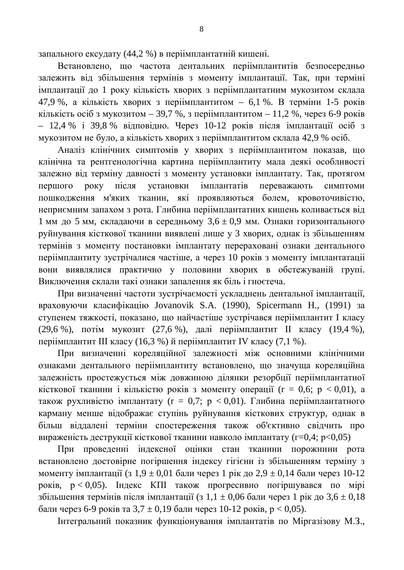запального ексудату (44,2 %) в періімплантатній кишені.

Встановлено, що частота дентальних періімплантитів безпосередньо залежить від збільшення термінів з моменту імплантації. Так, при терміні імплантації до 1 року кількість хворих з періімплантатним мукозитом склала 47,9 %, а кількість хворих з періімплантитом – 6,1 %. В терміни 1-5 років кількість осіб з мукозитом – 39,7 %, з періімплантитом – 11,2 %, через 6-9 років – 12,4 % і 39,8 % відповідно. Через 10-12 років після імплантації осіб з мукозитом не було, а кількість хворих з періімплантитом склала 42,9 % осіб.

Аналіз клінічних симптомів у хворих з періімплантитом показав, що клінічна та рентгенологічна картина періімплантиту мала деякі особливості залежно від терміну давності з моменту установки імплантату. Так, протягом першого року після установки імплантатів переважають симптоми пошкодження м'яких тканин, які проявляються болем, кровоточивістю, неприємним запахом з рота. Глибина періімплантатних кишень коливається від 1 мм до 5 мм, складаючи в середньому  $3.6 \pm 0.9$  мм. Ознаки горизонтального руйнування кісткової тканини виявлені лише у 3 хворих, однак із збільшенням термінів з моменту постановки імплантату перераховані ознаки дентального періімплантиту зустрічалися частіше, а через 10 років з моменту імплантатації вони виявлялися практично у половини хворих в обстежуваній групі. Виключення склали такі ознаки запалення як біль і гноєтеча.

При визначенні частоти зустрічаємості ускладнень дентальної імплантації, враховуючи класифікацію Jovanovik S.A. (1990), Spicermann H., (1991) за ступенем тяжкості, показано, що найчастіше зустрічався періімплантит I класу (29,6 %), потім мукозит (27,6 %), далі періімплантит II класу (19,4 %), періімплантит III класу (16,3 %) й періімплантит IV класу (7,1 %).

При визначенні кореляційної залежності між основними клінічними ознаками дентального періімплантиту встановлено, що значуща кореляційна залежність простежується між довжиною ділянки резорбції періімплантатної кісткової тканини і кількістю років з моменту операції ( $r = 0.6$ ;  $p < 0.01$ ), а також рухливістю імплантату (r = 0,7;  $p$  < 0,01). Глибина періімплантатного карману менше відображає ступінь руйнування кісткових структур, однак в більш віддалені терміни спостереження також об'єктивно свідчить про вираженість деструкції кісткової тканини навколо імплантату (г=0,4;  $p<0,05$ )

При проведенні індексної оцінки стан тканини порожнини рота встановлено достовірне погіршення індексу гігієни із збільшенням терміну з моменту імплантації (з 1,9 ± 0,01 бали через 1 рік до 2,9 ± 0,14 бали через 10-12  $\pi$ юків,  $p < 0.05$ ). Індекс КПІ також прогресивно погіршувався по мірі збільшення термінів після імплантації (з 1,1  $\pm$  0,06 бали через 1 рік до 3,6  $\pm$  0,18 бали через 6-9 років та  $3.7 \pm 0.19$  бали через 10-12 років, р < 0.05).

Інтегральний показник функціонування імплантатів по Міргазізову М.З.,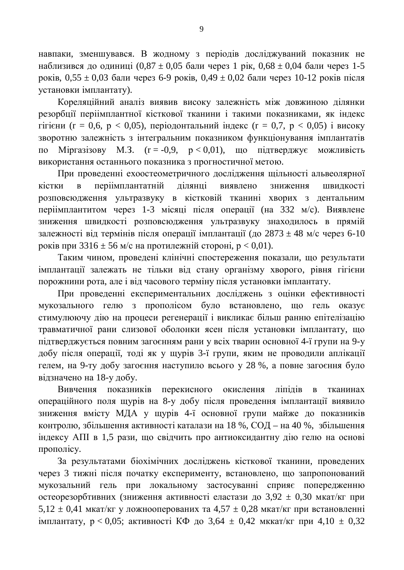навпаки, зменшувався. В жодному з періодів досліджуваний показник не наблизився до одиниці (0,87 ± 0,05 бали через 1 рік, 0,68 ± 0,04 бали через 1-5 pokib,  $0.55 \pm 0.03$  бали через 6-9 років,  $0.49 \pm 0.02$  бали через 10-12 років після установки імплантату).

Кореляційний аналіз виявив високу залежність між довжиною ділянки резорбції періімплантної кісткової тканини і такими показниками, як індекс гігієни (r = 0,6, p < 0,05), періодонтальний індекс (r = 0,7, p < 0,05) і високу зворотню залежність з інтегральним показником функціонування імплантатів по Міргазізову М.З. ( $r = -0.9$ ,  $p < 0.01$ ), що підтверджує можливість використання останнього показника з прогностичної метою.

При проведенні ехоостеометричного дослідження щільності альвеолярної кістки в періімплантатній ділянці виявлено зниження швидкості розповсюдження ультразвуку в кістковій тканині хворих з дентальним періімплантитом через 1-3 місяці після операції (на 332 м/с). Виявлене зниження швидкості розповсюдження ультразвуку знаходилось в прямій залежності від термінів після операції імплантації (до 2873  $\pm$  48 м/с через 6-10 років при 3316  $\pm$  56 м/с на протилежній стороні, р < 0,01).

Таким чином, проведені клінічні спостереження показали, що результати імплантації залежать не тільки від стану організму хворого, рівня гігієни порожнини рота, але і від часового терміну після установки імплантату.

При проведенні експериментальних досліджень з оцінки ефективності мукозального гелю з прополісом було встановлено, що гель оказує стимулюючу дію на процеси регенерації і викликає більш ранню епітелізацію травматичної рани слизової оболонки ясен після установки імплантату, що підтверджується повним загоєнням рани у всіх тварин основної 4-ї групи на 9-у добу після операції, тоді як у щурів 3-ї групи, яким не проводили аплікації гелем, на 9-ту добу загоєння наступило всього у 28 %, а повне загоєння було відзначено на 18-у добу.

Вивчення показників перекисного окислення ліпідів в тканинах операційного поля щурів на 8-у добу після проведення імплантації виявило зниження вмісту МДА у щурів 4-ї основної групи майже до показників контролю, збільшення активності каталази на 18 %, СОД – на 40 %, збільшення індексу АПІ в 1,5 рази, що свідчить про антиоксидантну дію гелю на основі прополісу.

За результатами біохімічних досліджень кісткової тканини, проведених через 3 тижні після початку експерименту, встановлено, що запропонований мукозальний гель при локальному застосуванні сприяє попередженню остеорезорбтивних (зниження активності еластази до 3,92  $\pm$  0,30 мкат/кг при  $5,12 \pm 0,41$  мкат/кг у ложнооперованих та 4,57  $\pm$  0,28 мкат/кг при встановленні імплантату,  $p < 0.05$ ; активності КФ до 3,64  $\pm$  0,42 мккат/кг при 4,10  $\pm$  0,32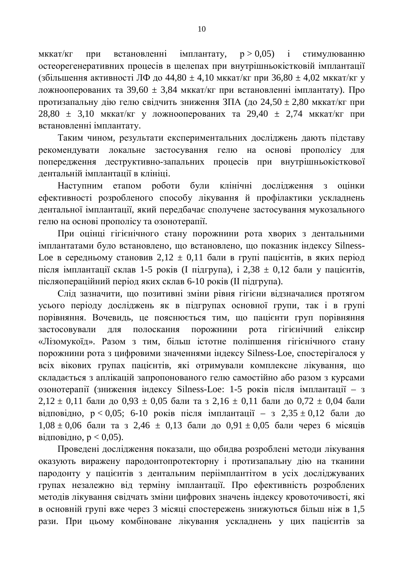мккат/кг при встановленні імплантату,  $p > 0.05$ ) і стимулюванню остеорегенеративних процесів в щелепах при внутрішньокістковій імплантації (збільшення активності ЛФ до 44,80 ± 4,10 мккат/кг при 36,80 ± 4,02 мккат/кг у ложнооперованих та 39,60  $\pm$  3,84 мккат/кг при встановленні імплантату). Про протизапальну дію гелю свідчить зниження ЗПА (до 24,50 ± 2,80 мккат/кг при  $28,80 \pm 3,10$  MKKaT/KF Y JOXHOOITEDOBAHUX TA  $29,40 \pm 2,74$  MKKAT/KF  $\Pi$ pH встановленні імплантату.

Таким чином, результати експериментальних лосліджень дають пілставу рекомендувати локальне застосування гелю на основі прополісу для попередження деструктивно-запальних процесів при внутрішньокісткової дентальній імплантації в клініці.

Наступним етапом роботи були клінічні дослідження з оцінки ефективності розробленого способу лікування й профілактики ускладнень дентальної імплантації, який передбачає сполучене застосування мукозального гелю на основі прополісу та озонотерапії.

При оцінці гігієнічного стану порожнини рота хворих з дентальними імплантатами було встановлено, що встановлено, що показник індексу Silness-Loe в середньому становив  $2,12 \pm 0,11$  бали в групі пацієнтів, в яких період після імплантації склав 1-5 років (I підгрупа), і 2,38  $\pm$  0,12 бали у пацієнтів, післяопераційний період яких склав 6-10 років (II підгрупа).

Слід зазначити, що позитивні зміни рівня гігієни відзначалися протягом усього періоду досліджень як в підгрупах основної групи, так і в групі порівняння. Вочевидь, це пояснюється тим, що пацієнти груп порівняння застосовували для полоскання порожнини рота гігієнічний еліксир «Лізомукоїд». Разом з тим, більш істотне поліпшення гігієнічного стану порожнини рота з цифровими значеннями індексу Silness-Loe, спостерігалося у всіх вікових групах пацієнтів, які отримували комплексне лікування, що складається з аплікацій запропонованого гелю самостійно або разом з курсами озонотерапії (зниження індексу Silness-Loe: 1-5 років після імплантації – з  $2,12 \pm 0,11$  бали до  $0.93 \pm 0.05$  бали та з  $2,16 \pm 0.11$  бали до  $0.72 \pm 0.04$  бали відповідно,  $p < 0.05$ ; 6-10 років після імплантації – з 2,35 ± 0,12 бали до  $1,08 \pm 0,06$  бали та з 2,46  $\pm$  0,13 бали до 0,91  $\pm$  0,05 бали через 6 місяців відповідно,  $p < 0.05$ ).

Проведені дослідження показали, що обидва розроблені методи лікування оказують виражену пародонтопротекторну і протизапальну дію на тканини пародонту у пацієнтів з дентальним періімплантітом в усіх досліджуваних групах незалежно від терміну імплантації. Про ефективність розроблених методів лікування свідчать зміни цифрових значень індексу кровоточивості, які в основній групі вже через 3 місяці спостережень знижуються більш ніж в 1,5 рази. При цьому комбіноване лікування ускладнень у цих пацієнтів за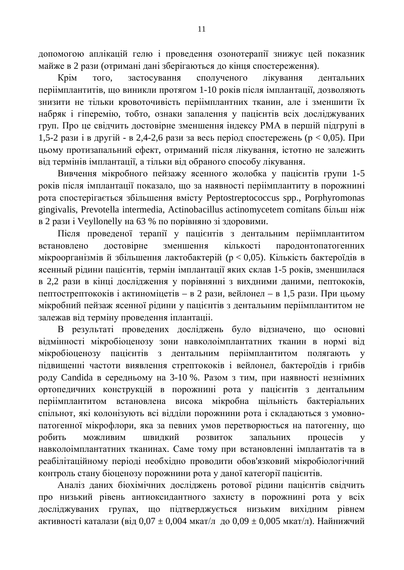допомогою аплікацій гелю і проведення озонотерапії знижує цей показник майже в 2 рази (отримані дані зберігаються до кінця спостереження).

Крім того, застосування сполученого лікування дентальних періімплантитів, що виникли протягом 1-10 років після імплантації, дозволяють знизити не тільки кровоточивість періімплантних тканин, але і зменшити їх набряк і гіперемію, тобто, ознаки запалення у пацієнтів всіх досліджуваних груп. Про це свідчить достовірне зменшення індексу РМА в першій підгрупі в 1,5-2 рази і в другій - в 2,4-2,6 рази за весь період спостережень ( $p < 0.05$ ). При цьому протизапальний ефект, отриманий після лікування, істотно не залежить від термінів імплантації, а тільки від обраного способу лікування.

Вивчення мікробного пейзажу ясенного жолобка у пацієнтів групи 1-5 років після імплантації показало, що за наявності періімплантиту в порожнині pora cпостерігається збільшення вмісту Peptostreptococcus spp., Porphyromonas gingivalis, Prevotella intermedia, Actinobacillus actinomycetem comitans більш ніж в 2 рази і Veyllonelly на 63 % по порівняно зі здоровими.

Після проведеної терапії у пацієнтів з дентальним періімплантитом встановлено достовірне зменшення кількості пародонтопатогенних мікроорганізмів й збільшення лактобактерій ( $p < 0.05$ ). Кількість бактероїдів в ясенный рідини пацієнтів, термін імплантації яких склав 1-5 років, зменшилася в 2,2 рази в кінці дослідження у порівнянні з вихдними даними, пептококів, пептострептококів і актиноміцетів – в 2 рази, вейлонел – в 1,5 рази. При цьому мікробний пейзаж ясенної рідини у пацієнтів з дентальним періімплантитом не залежав від терміну проведення іплантаціі.

В результаті проведених досліджень було відзначено, що основні відмінності мікробіоценозу зони навколоімплантатних тканин в нормі від мікробіоценозу пацієнтів з дентальним періімплантитом полягають у підвищенні частоти виявлення стрептококів і вейлонел, бактероїдів і грибів роду Candida в середньому на 3-10 %. Разом з тим, при наявності незнімних ортопедичних конструкцій в порожнині рота у пацієнтів з дентальним періімплантитом встановлена висока мікробна щільність бактеріальних спільнот, які колонізують всі відділи порожнини рота і складаються з умовнопатогенної мікрофлори, яка за певних умов перетворюється на патогенну, що робить можливим швидкий розвиток запальних процесів у навколоімплантатних тканинах. Саме тому при встановленні імплантатів та в реабілітаційному періоді необхідно проводити обов'язковий мікробіологічний контроль стану біоценозу порожнини рота у даної категорії пацієнтів.

Аналіз даних біохімічних досліджень ротової рідини пацієнтів свідчить про низький рівень антиоксидантного захисту в порожнині рота у всіх досліджуваних групах, що підтверджується низьким вихідним рівнем активності каталази (від 0,07 ± 0,004 мкат/л до 0,09 ± 0,005 мкат/л). Найнижчий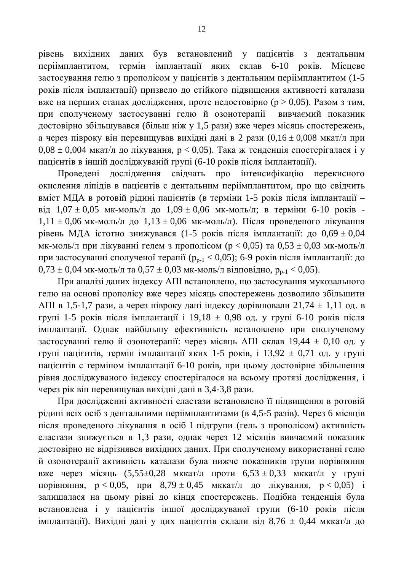рівень вихідних даних був встановлений у пацієнтів з дентальним періімплантитом, термін імплантації яких склав 6-10 років. Місцеве застосування гелю з прополісом у пацієнтів з дентальним періімплантитом (1-5 років після імплантації) призвело до стійкого підвищення активності каталази вже на перших етапах дослідження, проте недостовірно (р > 0,05). Разом з тим, при сполученому застосуванні гелю й озонотерапії вивчаємий показник достовірно збільшувався (більш ніж у 1,5 рази) вже через місяць спостережень, а через півроку він перевищував вихідні дані в 2 рази (0,16 ± 0,008 мкат/л при  $0.08 \pm 0.004$  мкат/л до лікування,  $p < 0.05$ ). Така ж тенденція спостерігалася і у пацієнтів в іншій досліджуваній групі (6-10 років після імплантації).

Проведені дослідження свідчать про інтенсифікацію перекисного окислення ліпідів в пацієнтів с дентальним періімплантитом, про що свідчить вміст МДА в ротовій рідині пацієнтів (в терміни 1-5 років після імплантації – від  $1,07 \pm 0,05$  мк-моль/л до  $1,09 \pm 0,06$  мк-моль/л; в терміни 6-10 років - $1,11 \pm 0,06$  мк-моль/л до  $1,13 \pm 0,06$  мк-моль/л). Після проведеного лікування рівень МДА істотно знижувався (1-5 років після імплантації: до  $0.69 \pm 0.04$ мк-моль/л при лікуванні гелем з прополісом ( $p < 0.05$ ) та  $0.53 \pm 0.03$  мк-моль/л при застосуванні сполученої терапії ( $p_{n-1} < 0.05$ ); 6-9 років після імплантації: до  $0.73 \pm 0.04$  MK-MOJIb/J Ta  $0.57 \pm 0.03$  MK-MOJIb/J BIAHOBIAHO,  $p_{n-1} < 0.05$ ).

При аналізі даних індексу АПІ встановлено, що застосування мукозального гелю на основі прополісу вже через місяць спостережень дозволило збільшити АПІ в 1,5-1,7 рази, а через півроку дані індексу дорівнювали 21,74  $\pm$  1,11 од. в групі 1-5 років після імплантації і 19,18  $\pm$  0,98 од. у групі 6-10 років після імплантації. Однак найбільшу ефективність встановлено при сполученому застосуванні гелю й озонотерапії: через місяць АПІ склав 19,44  $\pm$  0,10 од. у групі пацієнтів, термін імплантації яких 1-5 років, і 13,92  $\pm$  0,71 од. у групі пацієнтів с терміном імплантації 6-10 років, при цьому достовірне збільшення рівня досліджуваного індексу спостерігалося на всьому протязі дослідження, і через рік він перевищував вихідні дані в 3,4-3,8 рази.

При дослідженні активності еластази встановлено її підвищення в ротовій рідині всіх осіб з дентальними періімплантитами (в 4,5-5 разів). Через 6 місяців після проведеного лікування в осіб І підгрупи (гель з прополісом) активність еластази знижується в 1,3 рази, однак через 12 місяців вивчаємий показник достовірно не відрізнявся вихідних даних. При сполученому використанні гелю й озонотерапії активність каталази була нижче показників групи порівняння вже через місяць  $(5,55\pm0.28 \text{MKKat/II})$  проти  $6,53 \pm 0.33 \text{MKKat/II}$  у групі порівняння,  $p < 0.05$ , при  $8.79 \pm 0.45$  мккат/л до лікування,  $p < 0.05$ ) і залишалася на цьому рівні до кінця спостережень. Подібна тенденція була встановлена і у пацієнтів іншої досліджуваної групи (6-10 років після імплантації). Вихідні дані у цих пацієнтів склали від 8,76 ± 0,44 мккат/л до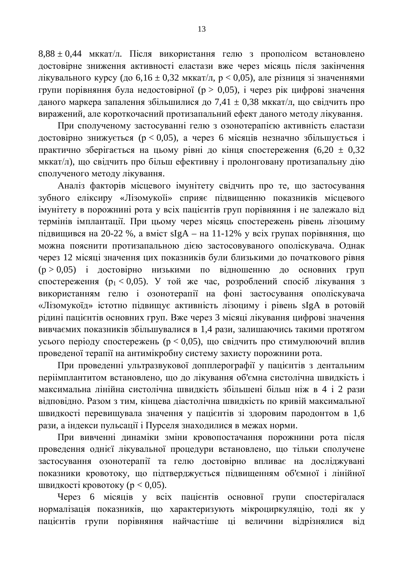$8,88 \pm 0,44$  мккат/л. Після використання гелю з прополісом встановлено достовірне зниження активності еластази вже через місяць після закінчення лікувального курсу (до  $6,16 \pm 0,32$  мккат/л,  $p < 0.05$ ), але різниця зі значеннями групи порівняння була недостовірної (р > 0,05), і через рік цифрові значення даного маркера запалення збільшилися до 7,41  $\pm$  0,38 мккат/л, що свідчить про виражений, але короткочасний протизапальний ефект даного методу лікування.

При сполученому застосуванні гелю з озонотерапією активність еластази достовірно знижується ( $p < 0.05$ ), а через 6 місяців незначно збільшується і практично зберігається на цьому рівні до кінця спостереження  $(6,20 \pm 0,32)$ мккат/л), що свідчить про більш ефективну і пролонговану протизапальну дію сполученого методу лікування.

Аналіз факторів місцевого імунітету свідчить про те, що застосування зубного еліксиру «Лізомукоїі» сприяє підвищенню показників місцевого імунітету в порожнині рота у всіх пацієнтів груп порівняння і не залежало від термінів імплантації. При цьому через місяць спостережень рівень лізоциму підвищився на 20-22 %, а вміст sIgA – на 11-12% у всіх групах порівняння, що можна пояснити протизапальною дією застосовуваного ополіскувача. Однак через 12 місяці значення цих показників були близькими до початкового рівня ( $p > 0.05$ ) і достовірно низькими по відношенню до основних груп спостереження ( $p_1 < 0.05$ ). У той же час, розроблений спосіб лікування з використанням гелю і озонотерапії на фоні застосування ополіскувача «Лізомукоїд» істотно підвищує активність лізоциму і рівень sIgA в ротовій рідині пацієнтів основних груп. Вже через 3 місяці лікування цифрові значення вивчаємих показників збільшувалися в 1,4 рази, залишаючись такими протягом усього періоду спостережень ( $p < 0.05$ ), що свідчить про стимулюючий вплив проведеної терапії на антимікробну систему захисту порожнини рота.

При проведенні ультразвукової допплерографії у пацієнтів з дентальним періімплантитом встановлено, що до лікування об'ємна систолічна швидкість і максимальна лінійна систолічна швидкість збільшені більш ніж в 4 і 2 рази відповідно. Разом з тим, кінцева діастолічна швидкість по кривій максимальної швидкості перевищувала значення у пацієнтів зі здоровим пародонтом в 1,6 рази, а індекси пульсації і Пурселя знаходилися в межах норми.

При вивченні динаміки зміни кровопостачання порожнини рота після проведення однієї лікувальної процедури встановлено, що тільки сполучене застосування озонотерапії та гелю достовірно впливає на досліджувані показники кровотоку, що підтверджується підвищенням об'ємної і лінійної швидкості кровотоку ( $p < 0.05$ ).

Через 6 місяців у всіх пацієнтів основної групи спостерігалася нормалізація показників, що характеризують мікроциркуляцію, тоді як у пацієнтів групи порівняння найчастіше ці величини відрізнялися від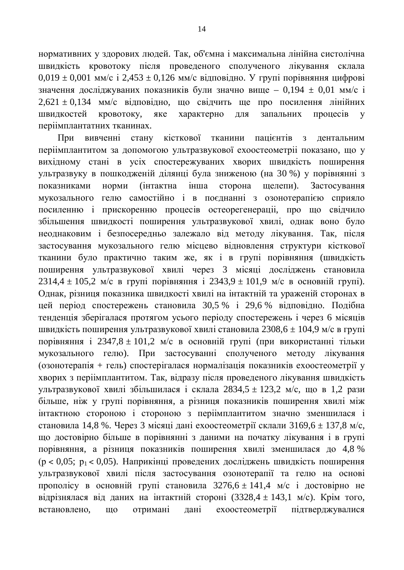нормативних у здорових людей. Так, об'ємна і максимальна лінійна систолічна швидкість кровотоку після проведеного сполученого лікування склала  $0.019 \pm 0.001$  MM/c i  $2.453 \pm 0.126$  MM/c відповідно. У групі порівняння цифрові значення досліджуваних показників були значно вище - 0,194  $\pm$  0,01 мм/с і  $2,621 \pm 0,134$  мм/с відповідно, що свідчить ще про посилення лінійних швидкостей кровотоку, яке характерно для запальних процесів у періімплантатних тканинах.

При вивченні стану кісткової тканини пацієнтів з дентальним періімплантитом за допомогою ультразвукової ехоостеометрії показано, що у вихідному стані в усіх спостережуваних хворих швидкість поширення үльтразвуку в пошкодженій ділянці була зниженою (на 30 %) у порівнянні з показниками норми (інтактна інша сторона щелепи). Застосування мукозального гелю самостійно і в поєлнанні з озонотерапією сприяло посиленню і прискоренню процесів остеорегенерації, про що свідчило збільшення швидкості поширення ультразвукової хвилі, однак воно було неоднаковим і безпосередньо залежало від методу лікування. Так, після застосування мукозального гелю місцево відновлення структури кісткової тканини було практично таким же, як і в групі порівняння (швидкість поширення ультразвукової хвилі через 3 місяці досліджень становила  $2314,4 \pm 105,2$  M/c в групі порівняння і  $2343,9 \pm 101,9$  M/c в основній групі). Однак, різниця показника швидкості хвилі на інтактній та ураженій сторонах в цей період спостережень становила 30,5 % і 29,6 % відповідно. Подібна тенденція зберігалася протягом усього періоду спостережень і через 6 місяців швидкість поширення ультразвукової хвилі становила 2308,6  $\pm$  104,9 м/с в групі порівняння і 2347,8 ± 101,2 м/с в основній групі (при використанні тільки мукозального гелю). При застосуванні сполученого методу лікування  $(030H0Tepa\pi i\pi + Teh)$  спостерігалася нормалізація показників ехоостеометрії у хворих з періімплантитом. Так, відразу після проведеного лікування швидкість vльтразвукової хвилі збільшилася і склала 2834,5 ± 123,2 м/с, що в 1,2 рази більше, ніж у групі порівняння, а різниця показників поширення хвилі між інтактною стороною і стороною з періімплантитом значно зменшилася і становила 14,8 %. Через 3 місяці дані ехоостеометрії склали 3169,6  $\pm$  137,8 м/с, що достовірно більше в порівнянні з даними на початку лікування і в групі порівняння, а різниця показників поширення хвилі зменшилася до 4,8 %  $(p < 0.05; p_1 < 0.05)$ . Наприкінці проведених досліджень швидкість поширення ультразвукової хвилі після застосування озонотерапії та гелю на основі прополісу в основній групі становила  $3276,6 \pm 141,4$  м/с і достовірно не відрізнялася від даних на інтактній стороні (3328,4 ± 143,1 м/с). Крім того, встановлено, що отримані дані ехоостеометрії підтверджувалися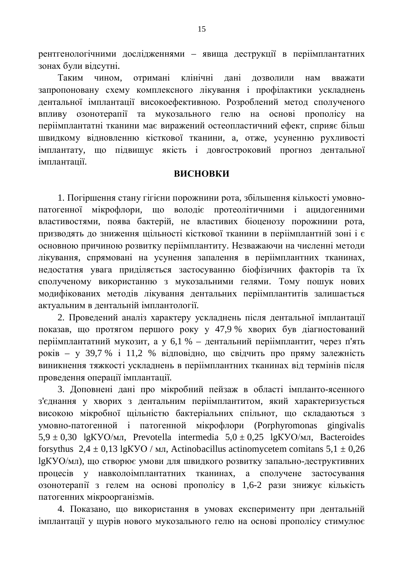рентгенологічними дослідженнями – явища деструкції в періімплантатних зонах були відсутні.

Таким чином, отримані клінічні дані дозволили нам вважати запропоновану схему комплексного лікування і профілактики ускладнень дентальної імплантації високоефективною. Розроблений метод сполученого впливу озонотерапії та мукозального гелю на основі прополісу на періімплантатні тканини має виражений остеопластичний ефект, сприяє більш швидкому відновленню кісткової тканини, а, отже, усуненню рухливості імплантату, що підвищує якість і довгостроковий прогноз дентальної iMППАНТАНii

#### **ВИСНОВКИ**

1. Погіршення стану гігієни порожнини рота, збільшення кількості умовнопатогенної мікрофлори, що володіє протеолітичними і ацидогенними властивостями, поява бактерій, не властивих біоценозу порожнини рота, призводять до зниження щільності кісткової тканини в періімплантній зоні і є основною причиною розвитку періімплантиту. Незважаючи на численні методи лікування, спрямовані на усунення запалення в періімплантних тканинах, недостатня увага приділяється застосуванню біофізичних факторів та їх сполученому використанню з мукозальними гелями. Тому пошук нових модифікованих методів лікування дентальних періімплантитів залишається актуальним в дентальній імплантології.

2. Проведений аналіз характеру ускладнень після дентальної імплантації показав, що протягом першого року у 47,9 % хворих був діагностований періімплантатний мукозит, а у 6,1 % – дентальний періімплантит, через п'ять років – у 39,7 % і 11,2 % відповідно, що свідчить про пряму залежність виникнення тяжкості ускладнень в періімплантних тканинах від термінів після проведення операції імплантації.

3. Доповнені дані про мікробний пейзаж в області імпланто-ясенного з'єднання у хворих з дентальним періімплантитом, який характеризується високою мікробної щільністю бактеріальних спільнот, що складаються з умовно-патогенной і патогенной мікрофлори (Porphyromonas gingivalis  $5.9 \pm 0.30$  lgKYO/MJ, Prevotella intermedia  $5.0 \pm 0.25$  lgKYO/MJ, Bacteroides forsythus  $2.4 \pm 0.13$  lgKYO / MJ, Actinobacillus actinomycetem comitans  $5.1 \pm 0.26$ lgKУО/мл), що створює умови для швидкого розвитку запально-деструктивних процесів у навколоімплантатних тканинах, а сполучене застосування озонотерапії з гелем на основі прополісу в 1,6-2 рази знижує кількість патогенних мікроорганізмів.

4. Показано, що використання в умовах експерименту при дентальній імплантації у щурів нового мукозального гелю на основі прополісу стимулює

15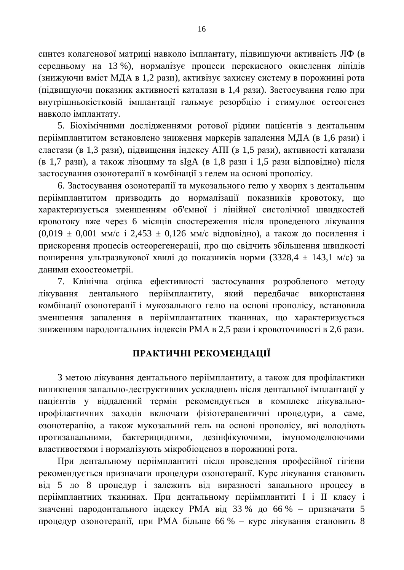синтез колагенової матриці навколо імплантату, підвищуючи активність ЛФ (в середньому на 13 %), нормалізує процеси перекисного окислення ліпідів (знижуючи вміст МДА в 1,2 рази), активізує захисну систему в порожнині рота (підвищуючи показник активності каталази в 1,4 рази). Застосування гелю при внутрішньокістковій імплантації гальмує резорбцію і стимулює остеогенез навколо імплантату.

5. Біохімічними дослідженнями ротової рідини пацієнтів з дентальним періімплантитом встановлено зниження маркерів запалення МЛА (в 1,6 рази) і еластази (в 1,3 рази), підвищення індексу АПІ (в 1,5 рази), активності каталази  $($ в 1,7 рази), а також лізоциму та sIgA (в 1,8 рази і 1,5 рази відповідно) після застосування озонотерапії в комбінації з гелем на основі прополісу.

6. Застосування озонотерапії та мукозального гелю у хворих з дентальним періімплантитом призводить до нормалізації показників кровотоку, що характеризується зменшенням об'ємної і лінійної систолічної швидкостей кровотоку вже через 6 місяців спостереження після проведеного лікування  $(0.019 \pm 0.001 \text{ MM/c}$  i  $2.453 \pm 0.126 \text{ MM/c}$  відповідно), а також до посилення і прискорення процесів остеорегенераціі, про що свідчить збільшення швидкості поширення ультразвукової хвилі до показників норми (3328,4  $\pm$  143,1 м/с) за даними ехоостеометріі.

7. Клінічна оцінка ефективності застосування розробленого методу лікування дентального періімплантиту, який передбачає використання комбінації озонотерапії і мукозального гелю на основі прополісу, встановила зменшення запалення в періімплантатних тканинах, що характеризується зниженням пародонтальних індексів РМА в 2,5 рази і кровоточивості в 2,6 рази.

# ПРАКТИЧНІ РЕКОМЕНДАЦІЇ

З метою лікування дентального періімплантиту, а також для профілактики виникнення запально-деструктивних ускладнень після дентальної імплантації у пацієнтів у віддалений термін рекомендується в комплекс лікувальнопрофілактичних заходів включати фізіотерапевтичні процедури, а саме, озонотерапію, а також мукозальний гель на основі прополісу, які володіють протизапальними, бактерицидними, дезінфікуючими, імуномоделюючими властивостями і нормалізують мікробіоценоз в порожнині рота.

При дентальному періімплантиті після проведення професійної гігієни рекомендується призначати процедури озонотерапії. Курс лікування становить від 5 до 8 процедур і залежить від виразності запального процесу в періімплантних тканинах. При дентальному періімплантиті І і II класу і значенні пародонтального індексу РМА від 33 % до 66 % – призначати 5 процедур озонотерапії, при РМА більше 66 % – курс лікування становить 8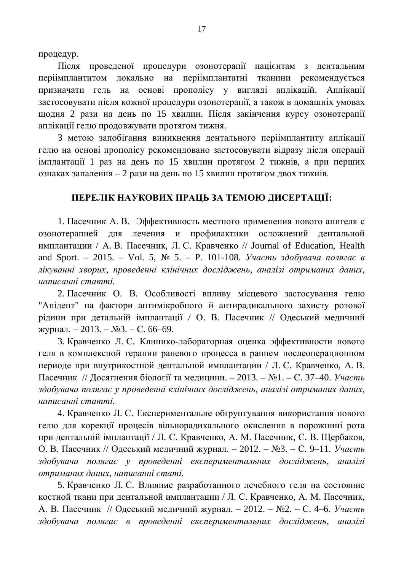процедур.

Після проведеної процедури озонотерапії пацієнтам з дентальним періімплантитом локально на періімплантатні тканини рекомендується призначати гель на основі прополісу у вигляді аплікацій. Аплікації застосовувати після кожної процедури озонотерапії, а також в домашніх умовах щодня 2 рази на день по 15 хвилин. Після закінчення курсу озонотерапії аплікації гелю продовжувати протягом тижня.

З метою запобігання виникнення дентального періімплантиту аплікації гелю на основі прополісу рекомендовано застосовувати відразу після операції імплантації 1 раз на день по 15 хвилин протягом 2 тижнів, а при перших ознаках запалення – 2 рази на день по 15 хвилин протягом двох тижнів.

## ПЕРЕЛІК НАУКОВИХ ПРАЦЬ ЗА ТЕМОЮ ДИСЕРТАЦІЇ:

1. Пасечник А. В. Эффективность местного применения нового апигеля с озонотерапией для лечения и профилактики осложнений дентальной имплантации / А. В. Пасечник, Л. С. Кравченко // Journal of Education, Health and Sport. – 2015. – Vol. 5,  $\mathbb{N}^2$  5. – P. 101-108. *Участь здобувача полягає в* дікуванні хворих, проведенні клінічних досліджень, аналізі отриманих даних, *ɧɚɩɢɫɚɧɧɿɫɬɚɬɬɿ.*

2. Пасечник О. В. Особливості впливу місцевого застосування гелю "Апідент" на фактори антимікробного й антирадикального захисту ротової рідини при детальній імплантації / О. В. Пасечник // Одеський медичний журнал. – 2013. – №3. – С. 66–69.

3. Кравченко Л. С. Клинико-лабораторная оценка эффективности нового геля в комплексной терапии раневого процесса в раннем послеоперационном периоде при внутрикостной дентальной имплантации / Л. С. Кравченко, А. В. Пасечник // Досягнення біології та медицини. – 2013. – №1. – С. 37–40. Участь здобувача полягає у проведенні клінічних досліджень, аналізі отриманих даних, *ɧɚɩɢɫɚɧɧɿɫɬɚɬɬɿ.*

4. Кравченко Л. С. Експериментальне обтрунтування використання нового гелю для корекції процесів вільнорадикального окислення в порожнині рота при дентальній імплантації / Л. С. Кравченко, А. М. Пасечник, С. В. Щербаков, О. В. Пасечник // Одеський медичний журнал. – 2012. – №3. – С. 9–11. *Участь* здобувача полягає у проведенні експериментальних досліджень, аналізі  $ompu$ маних даних, написанні статі.

5. Кравченко Л. С. Влияние разработанного лечебного геля на состояние костной ткани при дентальной имплантации / Л. С. Кравченко, А. М. Пасечник, А. В. Пасечник // Одеський медичний журнал. – 2012. – №2. – С. 4–6. *Участь* здобувача полягає в проведенні експериментальних досліджень, аналізі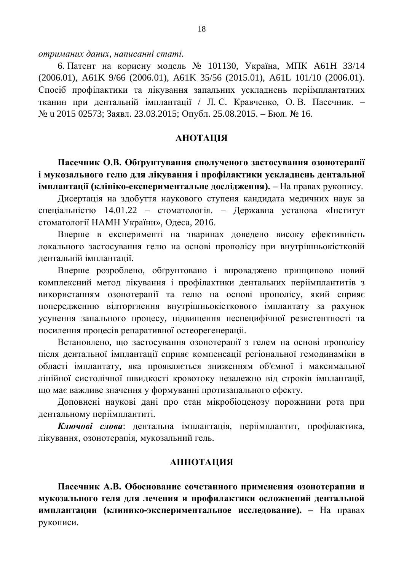$\delta$ *ютриманих даних, написанні статі.* 

6. Патент на корисну модель № 101130, Україна, МПК А61Н 33/14 (2006.01), A61K 9/66 (2006.01), A61K 35/56 (2015.01), A61L 101/10 (2006.01). Спосіб профілактики та лікування запальних ускладнень періімплантатних тканин при дентальній імплантації / Л.С. Кравченко, О.В. Пасечник. -№ и 2015 02573; Заявл. 23.03.2015; Опубл. 25.08.2015. – Бюл. № 16.

#### *AHOTAIIIA*

Пасечник О.В. Обтрунтування сполученого застосування озонотерапії **і мукозального гелю для лікування і профілактики ускладнень дентальної імплантації (клініко-експериментальне дослідження).** – На правах рукопису.

Дисертація на здобуття наукового ступеня кандидата медичних наук за спеціальністю 14.01.22 – стоматологія. – Державна установа «Інститут стоматології НАМН України», Одеса, 2016.

Вперше в експерименті на тваринах доведено високу ефективність локального застосування гелю на основі прополісу при внутрішньокістковій лентальній імплантації.

Вперше розроблено, обгрунтовано і впроваджено принципово новий комплексний метод лікування і профілактики дентальних періімплантитів з використанням озонотерапії та гелю на основі прополісу, який сприяє попередженню відторгнення внутрішньокісткового імплантату за рахунок үсунення запального процесу, підвищення неспецифічної резистентності та посилення процесів репаративної остеорегенерації.

Встановлено, що застосування озонотерапії з гелем на основі прополісу після дентальної імплантації сприяє компенсації регіональної гемодинаміки в області імплантату, яка проявляється зниженням об'ємної і максимальної лінійної систолічної швидкості кровотоку незалежно від строків імплантації, що має важливе значення у формуванні протизапального ефекту.

Доповнені наукові дані про стан мікробіоценозу порожнини рота при дентальному періімплантиті.

Ключові слова: дентальна імплантація, періімплантит, профілактика, лікування, озонотерапія, мукозальний гель.

#### **АННОТАЦИЯ**

Пасечник А.В. Обоснование сочетанного применения озонотерапии и мукозального геля для лечения и профилактики осложнений дентальной **ИМПЛАНТАЦИИ (КЛИНИКО-ЭКСПЕРИМЕНТАЛЬНОЕ ИССЛЕДОВАНИЕ). – На правах** рукописи.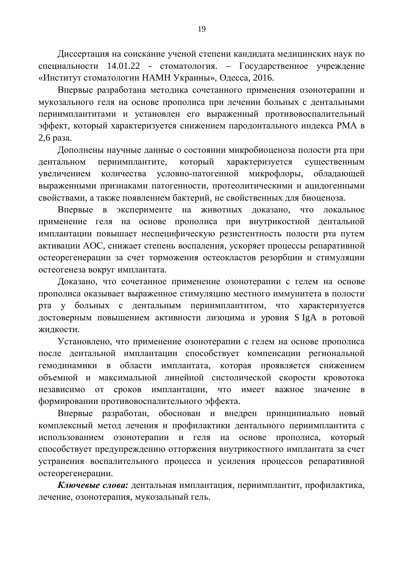Диссертация на соискание ученой степени кандидата медицинских наук по специальности 14.01.22 - стоматология. – Государственное учреждение «Институт стоматологии НАМН Украины», Олесса, 2016.

Впервые разработана методика сочетанного применения озонотерапии и мукозального геля на основе прополиса при лечении больных с дентальными периимплантитами и установлен его выраженный противовоспалительный эффект, который характеризуется снижением пародонтального индекса РМА в 2,6 раза.

Дополнены научные данные о состоянии микробиоценоза полости рта при дентальном периимплантите, который характеризуется существенным увеличением количества условно-патогенной микрофлоры, обладающей выраженными признаками патогенности, протеолитическими и ацидогенными свойствами, а также появлением бактерий, не свойственных для биоценоза.

Впервые в эксперименте на животных доказано, что локальное применение геля на основе прополиса при внутрикостной дентальной имплантации повышает неспецифическую резистентность полости рта путем активации АОС, снижает степень воспаления, ускоряет процессы репаративной остеорегенерации за счет торможения остеокластов резорбции и стимуляции остеогенеза вокруг имплантата.

Доказано, что сочетанное применение озонотерапии с гелем на основе прополиса оказывает выраженное стимуляцию местного иммунитета в полости рта у больных с дентальным периимплантитом, что характеризуется достоверным повышением активности лизоцима и уровня S IgA в ротовой жидкости.

Установлено, что применение озонотерапии с гелем на основе прополиса после дентальной имплантации способствует компенсации региональной гемодинамики в области имплантата, которая проявляется снижением объемной и максимальной линейной систолической скорости кровотока независимо от сроков имплантации, что имеет важное значение в формировании противовоспалительного эффекта.

Впервые разработан, обоснован и внедрен принципиально новый комплексный метод лечения и профилактики дентального периимплантита с использованием озонотерапии и геля на основе прополиса, который способствует предупреждению отторжения внутрикостного имплантата за счет устранения воспалительного процесса и усиления процессов репаративной остеорегенерации.

Ключевые слова: дентальная имплантация, периимплантит, профилактика, лечение, озонотерапия, мукозальный гель.